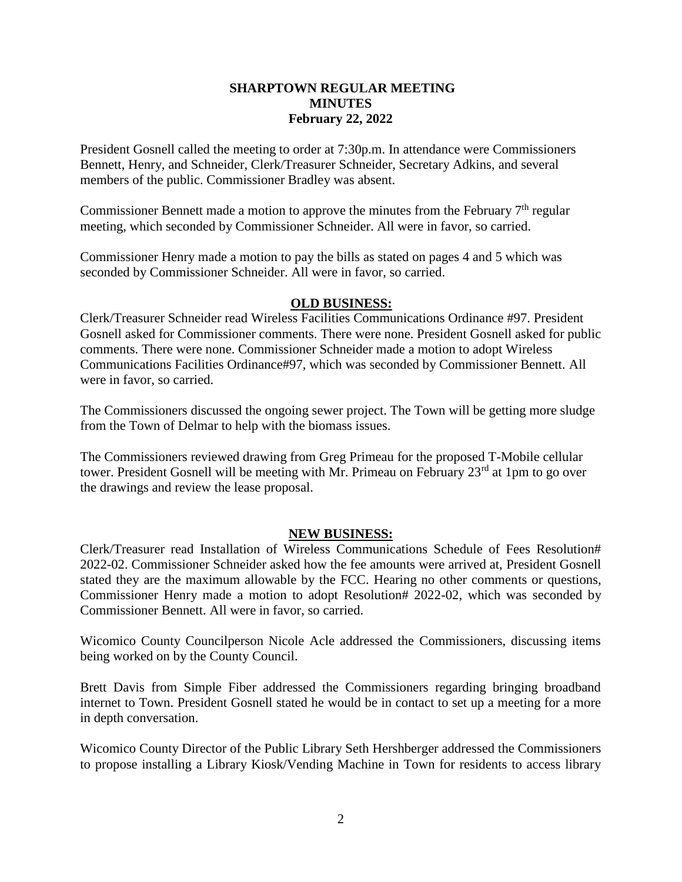## **SHARPTOWN REGULAR MEETING MINUTES February 22, 2022**

President Gosnell called the meeting to order at 7:30p.m. In attendance were Commissioners Bennett, Henry, and Schneider, Clerk/Treasurer Schneider, Secretary Adkins, and several members of the public. Commissioner Bradley was absent.

Commissioner Bennett made a motion to approve the minutes from the February  $7<sup>th</sup>$  regular meeting, which seconded by Commissioner Schneider. All were in favor, so carried.

Commissioner Henry made a motion to pay the bills as stated on pages 4 and 5 which was seconded by Commissioner Schneider. All were in favor, so carried.

## **OLD BUSINESS:**

Clerk/Treasurer Schneider read Wireless Facilities Communications Ordinance #97. President Gosnell asked for Commissioner comments. There were none. President Gosnell asked for public comments. There were none. Commissioner Schneider made a motion to adopt Wireless Communications Facilities Ordinance#97, which was seconded by Commissioner Bennett. All were in favor, so carried.

The Commissioners discussed the ongoing sewer project. The Town will be getting more sludge from the Town of Delmar to help with the biomass issues.

The Commissioners reviewed drawing from Greg Primeau for the proposed T-Mobile cellular tower. President Gosnell will be meeting with Mr. Primeau on February  $23<sup>rd</sup>$  at 1pm to go over the drawings and review the lease proposal.

## **NEW BUSINESS:**

Clerk/Treasurer read Installation of Wireless Communications Schedule of Fees Resolution# 2022-02. Commissioner Schneider asked how the fee amounts were arrived at, President Gosnell stated they are the maximum allowable by the FCC. Hearing no other comments or questions, Commissioner Henry made a motion to adopt Resolution# 2022-02, which was seconded by Commissioner Bennett. All were in favor, so carried.

Wicomico County Councilperson Nicole Acle addressed the Commissioners, discussing items being worked on by the County Council.

Brett Davis from Simple Fiber addressed the Commissioners regarding bringing broadband internet to Town. President Gosnell stated he would be in contact to set up a meeting for a more in depth conversation.

Wicomico County Director of the Public Library Seth Hershberger addressed the Commissioners to propose installing a Library Kiosk/Vending Machine in Town for residents to access library